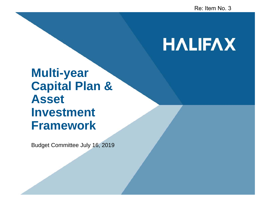# **HALIFAX**

### **Multi-year Capital Plan & Asset Investment Framework**

Budget Committee July 16, 2019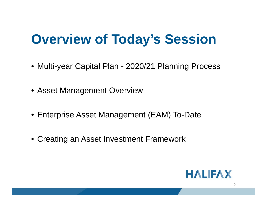## **Overview of Today's Session**

- Multi-year Capital Plan 2020/21 Planning Process
- Asset Management Overview
- Enterprise Asset Management (EAM) To-Date
- Creating an Asset Investment Framework

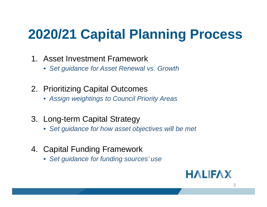# **2020/21 Capital Planning Process**

- 1. Asset Investment Framework
	- *Set guidance for Asset Renewal vs. Growth*
- 2. Prioritizing Capital Outcomes
	- *Assign weightings to Council Priority Areas*
- 3. Long-term Capital Strategy
	- *Set guidance for how asset objectives will be met*
- 4. Capital Funding Framework
	- *Set guidance for funding sources' use*

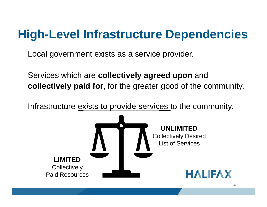### **High-Level Infrastructure Dependencies**

Local government exists as a service provider.

Services which are **collectively agreed upon** and **collectively paid for**, for the greater good of the community.

Infrastructure exists to provide services to the community.

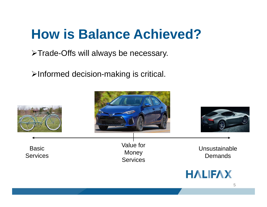## **How is Balance Achieved?**

>Trade-Offs will always be necessary.

>Informed decision-making is critical.

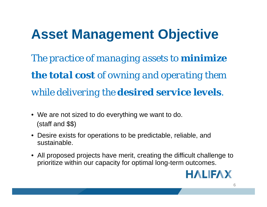# **Asset Management Objective**

*The practice of managing assets to minimize the total cost of owning and operating them while delivering the desired service levels.*

- We are not sized to do everything we want to do. (staff and \$\$)
- Desire exists for operations to be predictable, reliable, and sustainable.
- All proposed projects have merit, creating the difficult challenge to prioritize within our capacity for optimal long-term outcomes.

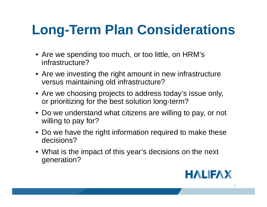# **Long-Term Plan Considerations**

- Are we spending too much, or too little, on HRM's infrastructure?
- Are we investing the right amount in new infrastructure versus maintaining old infrastructure?
- Are we choosing projects to address today's issue only, or prioritizing for the best solution long-term?
- Do we understand what citizens are willing to pay, or not willing to pay for?
- Do we have the right information required to make these decisions?
- What is the impact of this year's decisions on the next generation?

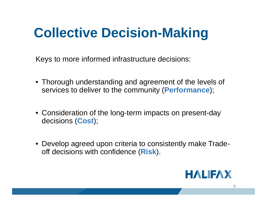# **Collective Decision-Making**

Keys to more informed infrastructure decisions:

- Thorough understanding and agreement of the levels of services to deliver to the community (**Performance**);
- Consideration of the long-term impacts on present-day decisions (**Cost**);
- Develop agreed upon criteria to consistently make Tradeoff decisions with confidence (**Risk**).

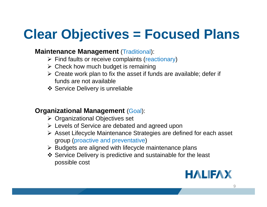# **Clear Objectives = Focused Plans**

#### **Maintenance Management** (Traditional):

- $\triangleright$  Find faults or receive complaints (reactionary)
- $\triangleright$  Check how much budget is remaining
- $\triangleright$  Create work plan to fix the asset if funds are available; defer if funds are not available
- **❖ Service Delivery is unreliable**

#### **Organizational Management (Goal):**

- **≻** Organizational Objectives set
- Levels of Service are debated and agreed upon
- Asset Lifecycle Maintenance Strategies are defined for each asset group (proactive and preventative)
- $\triangleright$  Budgets are aligned with lifecycle maintenance plans
- Service Delivery is predictive and sustainable for the least possible cost

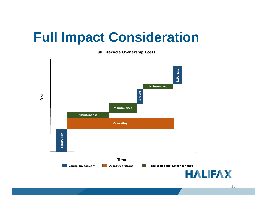### **Full Impact Consideration**

**Full Lifecycle Ownership Costs**

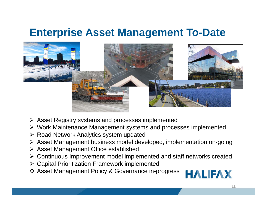### **Enterprise Asset Management To-Date**



- Asset Registry systems and processes implemented
- Work Maintenance Management systems and processes implemented
- **≻ Road Network Analytics system updated**
- Asset Management business model developed, implementation on-going
- **▶ Asset Management Office established**
- Continuous Improvement model implemented and staff networks created
- Capital Prioritization Framework implemented
- Asset Management Policy & Governance in-progress

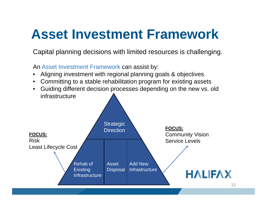Capital planning decisions with limited resources is challenging.

An Asset Investment Framework can assist by:

- •Aligning investment with regional planning goals & objectives
- •Committing to a stable rehabilitation program for existing assets
- Guiding different decision processes depending on the new vs. old infrastructure

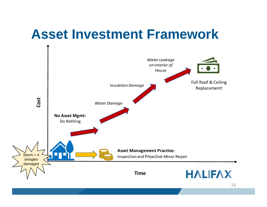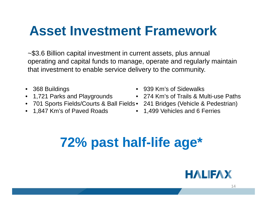~\$3.6 Billion capital investment in current assets, plus annual operating and capital funds to manage, operate and regularly maintain that investment to enable service delivery to the community.

- 368 Buildings
- 1,721 Parks and Playgrounds
- 701 Sports Fields/Courts & Ball Fields 241 Bridges (Vehicle & Pedestrian)
- 1,847 Km's of Paved Roads
- •939 Km's of Sidewalks
- 274 Km's of Trails & Multi-use Paths
- 
- 1,499 Vehicles and 6 Ferries

# **72% past half-life age\***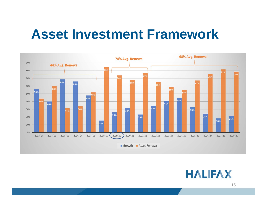